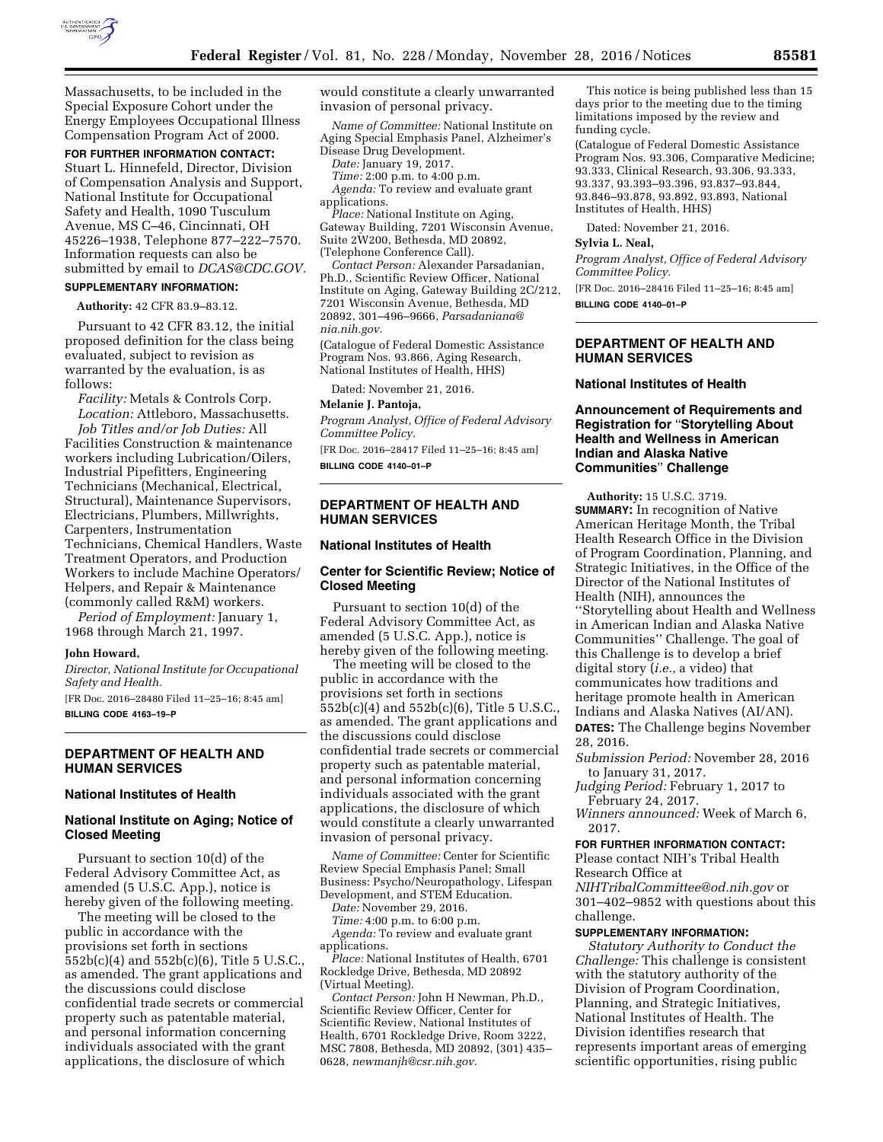

Massachusetts, to be included in the Special Exposure Cohort under the Energy Employees Occupational Illness Compensation Program Act of 2000.

### **FOR FURTHER INFORMATION CONTACT:**

Stuart L. Hinnefeld, Director, Division of Compensation Analysis and Support, National Institute for Occupational Safety and Health, 1090 Tusculum Avenue, MS C–46, Cincinnati, OH 45226–1938, Telephone 877–222–7570. Information requests can also be submitted by email to *[DCAS@CDC.GOV.](mailto:DCAS@CDC.GOV)*  **SUPPLEMENTARY INFORMATION:** 

**Authority:** 42 CFR 83.9–83.12.

Pursuant to 42 CFR 83.12, the initial proposed definition for the class being evaluated, subject to revision as warranted by the evaluation, is as follows:

*Facility:* Metals & Controls Corp. *Location:* Attleboro, Massachusetts. *Job Titles and/or Job Duties:* All Facilities Construction & maintenance workers including Lubrication/Oilers, Industrial Pipefitters, Engineering Technicians (Mechanical, Electrical, Structural), Maintenance Supervisors, Electricians, Plumbers, Millwrights, Carpenters, Instrumentation Technicians, Chemical Handlers, Waste Treatment Operators, and Production Workers to include Machine Operators/ Helpers, and Repair & Maintenance (commonly called R&M) workers.

*Period of Employment:* January 1, 1968 through March 21, 1997.

### **John Howard,**

*Director, National Institute for Occupational Safety and Health.* 

[FR Doc. 2016–28480 Filed 11–25–16; 8:45 am] **BILLING CODE 4163–19–P** 

# **DEPARTMENT OF HEALTH AND HUMAN SERVICES**

### **National Institutes of Health**

# **National Institute on Aging; Notice of Closed Meeting**

Pursuant to section 10(d) of the Federal Advisory Committee Act, as amended (5 U.S.C. App.), notice is hereby given of the following meeting.

The meeting will be closed to the public in accordance with the provisions set forth in sections 552b(c)(4) and 552b(c)(6), Title 5 U.S.C., as amended. The grant applications and the discussions could disclose confidential trade secrets or commercial property such as patentable material, and personal information concerning individuals associated with the grant applications, the disclosure of which

would constitute a clearly unwarranted invasion of personal privacy.

*Name of Committee:* National Institute on Aging Special Emphasis Panel, Alzheimer's Disease Drug Development.

*Date:* January 19, 2017.

*Time:* 2:00 p.m. to 4:00 p.m. *Agenda:* To review and evaluate grant applications.

*Place:* National Institute on Aging, Gateway Building, 7201 Wisconsin Avenue, Suite 2W200, Bethesda, MD 20892, (Telephone Conference Call).

*Contact Person:* Alexander Parsadanian, Ph.D., Scientific Review Officer, National Institute on Aging, Gateway Building 2C/212, 7201 Wisconsin Avenue, Bethesda, MD 20892, 301–496–9666, *[Parsadaniana@](mailto:Parsadaniana@nia.nih.gov) [nia.nih.gov.](mailto:Parsadaniana@nia.nih.gov)* 

(Catalogue of Federal Domestic Assistance Program Nos. 93.866, Aging Research, National Institutes of Health, HHS)

Dated: November 21, 2016.

#### **Melanie J. Pantoja,**

*Program Analyst, Office of Federal Advisory Committee Policy.* 

[FR Doc. 2016–28417 Filed 11–25–16; 8:45 am] **BILLING CODE 4140–01–P** 

### **DEPARTMENT OF HEALTH AND HUMAN SERVICES**

### **National Institutes of Health**

## **Center for Scientific Review; Notice of Closed Meeting**

Pursuant to section 10(d) of the Federal Advisory Committee Act, as amended (5 U.S.C. App.), notice is hereby given of the following meeting.

The meeting will be closed to the public in accordance with the provisions set forth in sections 552b(c)(4) and 552b(c)(6), Title 5 U.S.C., as amended. The grant applications and the discussions could disclose confidential trade secrets or commercial property such as patentable material, and personal information concerning individuals associated with the grant applications, the disclosure of which would constitute a clearly unwarranted invasion of personal privacy.

*Name of Committee:* Center for Scientific Review Special Emphasis Panel; Small Business: Psycho/Neuropathology, Lifespan Development, and STEM Education.

*Date:* November 29, 2016.

*Time:* 4:00 p.m. to 6:00 p.m. *Agenda:* To review and evaluate grant

applications. *Place:* National Institutes of Health, 6701

Rockledge Drive, Bethesda, MD 20892 (Virtual Meeting).

*Contact Person:* John H Newman, Ph.D., Scientific Review Officer, Center for Scientific Review, National Institutes of Health, 6701 Rockledge Drive, Room 3222, MSC 7808, Bethesda, MD 20892, (301) 435– 0628, *[newmanjh@csr.nih.gov.](mailto:newmanjh@csr.nih.gov)* 

This notice is being published less than 15 days prior to the meeting due to the timing limitations imposed by the review and funding cycle.

(Catalogue of Federal Domestic Assistance Program Nos. 93.306, Comparative Medicine; 93.333, Clinical Research, 93.306, 93.333, 93.337, 93.393–93.396, 93.837–93.844, 93.846–93.878, 93.892, 93.893, National Institutes of Health, HHS)

Dated: November 21, 2016.

# **Sylvia L. Neal,**

*Program Analyst, Office of Federal Advisory Committee Policy.* 

[FR Doc. 2016–28416 Filed 11–25–16; 8:45 am] **BILLING CODE 4140–01–P** 

# **DEPARTMENT OF HEALTH AND HUMAN SERVICES**

### **National Institutes of Health**

# **Announcement of Requirements and Registration for** ''**Storytelling About Health and Wellness in American Indian and Alaska Native Communities**'' **Challenge**

**Authority:** 15 U.S.C. 3719. **SUMMARY:** In recognition of Native American Heritage Month, the Tribal Health Research Office in the Division of Program Coordination, Planning, and Strategic Initiatives, in the Office of the Director of the National Institutes of Health (NIH), announces the ''Storytelling about Health and Wellness in American Indian and Alaska Native Communities'' Challenge. The goal of this Challenge is to develop a brief digital story (*i.e.,* a video) that communicates how traditions and heritage promote health in American Indians and Alaska Natives (AI/AN). **DATES:** The Challenge begins November 28, 2016.

*Submission Period:* November 28, 2016 to January 31, 2017.

*Judging Period:* February 1, 2017 to February 24, 2017.

*Winners announced:* Week of March 6, 2017.

### **FOR FURTHER INFORMATION CONTACT:**

Please contact NIH's Tribal Health Research Office at *[NIHTribalCommittee@od.nih.gov](mailto:NIHTribalCommittee@od.nih.gov)* or 301–402–9852 with questions about this

challenge.

# **SUPPLEMENTARY INFORMATION:**

*Statutory Authority to Conduct the Challenge:* This challenge is consistent with the statutory authority of the Division of Program Coordination, Planning, and Strategic Initiatives, National Institutes of Health. The Division identifies research that represents important areas of emerging scientific opportunities, rising public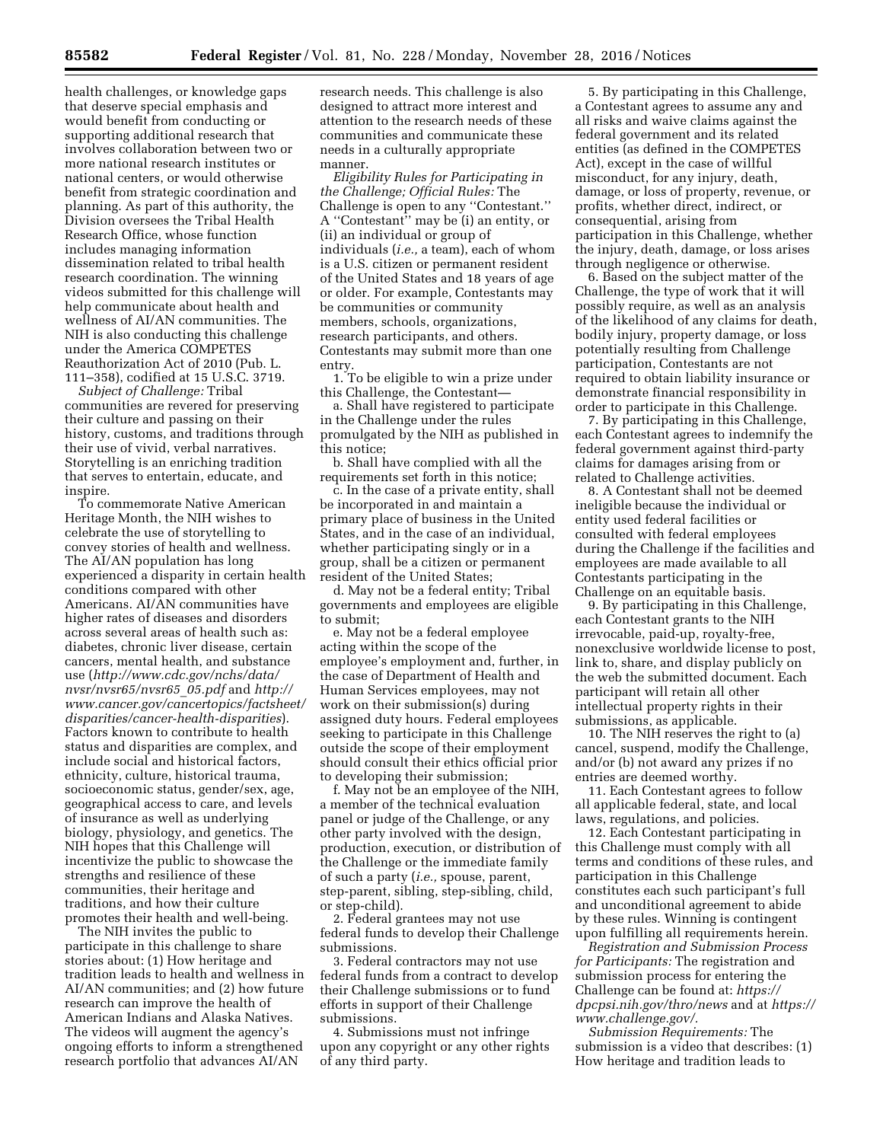health challenges, or knowledge gaps that deserve special emphasis and would benefit from conducting or supporting additional research that involves collaboration between two or more national research institutes or national centers, or would otherwise benefit from strategic coordination and planning. As part of this authority, the Division oversees the Tribal Health Research Office, whose function includes managing information dissemination related to tribal health research coordination. The winning videos submitted for this challenge will help communicate about health and wellness of AI/AN communities. The NIH is also conducting this challenge under the America COMPETES Reauthorization Act of 2010 (Pub. L. 111–358), codified at 15 U.S.C. 3719.

*Subject of Challenge:* Tribal communities are revered for preserving their culture and passing on their history, customs, and traditions through their use of vivid, verbal narratives. Storytelling is an enriching tradition that serves to entertain, educate, and inspire.

To commemorate Native American Heritage Month, the NIH wishes to celebrate the use of storytelling to convey stories of health and wellness. The AI/AN population has long experienced a disparity in certain health conditions compared with other Americans. AI/AN communities have higher rates of diseases and disorders across several areas of health such as: diabetes, chronic liver disease, certain cancers, mental health, and substance use (*[http://www.cdc.gov/nchs/data/](http://www.cdc.gov/nchs/data/nvsr/nvsr65/nvsr65_05.pdf)  [nvsr/nvsr65/nvsr65](http://www.cdc.gov/nchs/data/nvsr/nvsr65/nvsr65_05.pdf)*\_*05.pdf* and *[http://](http://www.cancer.gov/cancertopics/factsheet/disparities/cancer-health-disparities) [www.cancer.gov/cancertopics/factsheet/](http://www.cancer.gov/cancertopics/factsheet/disparities/cancer-health-disparities) [disparities/cancer-health-disparities](http://www.cancer.gov/cancertopics/factsheet/disparities/cancer-health-disparities)*). Factors known to contribute to health status and disparities are complex, and include social and historical factors, ethnicity, culture, historical trauma, socioeconomic status, gender/sex, age, geographical access to care, and levels of insurance as well as underlying biology, physiology, and genetics. The NIH hopes that this Challenge will incentivize the public to showcase the strengths and resilience of these communities, their heritage and traditions, and how their culture promotes their health and well-being.

The NIH invites the public to participate in this challenge to share stories about: (1) How heritage and tradition leads to health and wellness in AI/AN communities; and (2) how future research can improve the health of American Indians and Alaska Natives. The videos will augment the agency's ongoing efforts to inform a strengthened research portfolio that advances AI/AN

research needs. This challenge is also designed to attract more interest and attention to the research needs of these communities and communicate these needs in a culturally appropriate manner.

*Eligibility Rules for Participating in the Challenge; Official Rules:* The Challenge is open to any ''Contestant.'' A ''Contestant'' may be (i) an entity, or (ii) an individual or group of individuals (*i.e.,* a team), each of whom is a U.S. citizen or permanent resident of the United States and 18 years of age or older. For example, Contestants may be communities or community members, schools, organizations, research participants, and others. Contestants may submit more than one entry.

1. To be eligible to win a prize under this Challenge, the Contestant—

a. Shall have registered to participate in the Challenge under the rules promulgated by the NIH as published in this notice;

b. Shall have complied with all the requirements set forth in this notice;

c. In the case of a private entity, shall be incorporated in and maintain a primary place of business in the United States, and in the case of an individual, whether participating singly or in a group, shall be a citizen or permanent resident of the United States;

d. May not be a federal entity; Tribal governments and employees are eligible to submit;

e. May not be a federal employee acting within the scope of the employee's employment and, further, in the case of Department of Health and Human Services employees, may not work on their submission(s) during assigned duty hours. Federal employees seeking to participate in this Challenge outside the scope of their employment should consult their ethics official prior to developing their submission;

f. May not be an employee of the NIH, a member of the technical evaluation panel or judge of the Challenge, or any other party involved with the design, production, execution, or distribution of the Challenge or the immediate family of such a party (*i.e.,* spouse, parent, step-parent, sibling, step-sibling, child, or step-child).

2. Federal grantees may not use federal funds to develop their Challenge submissions.

3. Federal contractors may not use federal funds from a contract to develop their Challenge submissions or to fund efforts in support of their Challenge submissions.

4. Submissions must not infringe upon any copyright or any other rights of any third party.

5. By participating in this Challenge, a Contestant agrees to assume any and all risks and waive claims against the federal government and its related entities (as defined in the COMPETES Act), except in the case of willful misconduct, for any injury, death, damage, or loss of property, revenue, or profits, whether direct, indirect, or consequential, arising from participation in this Challenge, whether the injury, death, damage, or loss arises through negligence or otherwise.

6. Based on the subject matter of the Challenge, the type of work that it will possibly require, as well as an analysis of the likelihood of any claims for death, bodily injury, property damage, or loss potentially resulting from Challenge participation, Contestants are not required to obtain liability insurance or demonstrate financial responsibility in order to participate in this Challenge.

7. By participating in this Challenge, each Contestant agrees to indemnify the federal government against third-party claims for damages arising from or related to Challenge activities.

8. A Contestant shall not be deemed ineligible because the individual or entity used federal facilities or consulted with federal employees during the Challenge if the facilities and employees are made available to all Contestants participating in the Challenge on an equitable basis.

9. By participating in this Challenge, each Contestant grants to the NIH irrevocable, paid-up, royalty-free, nonexclusive worldwide license to post, link to, share, and display publicly on the web the submitted document. Each participant will retain all other intellectual property rights in their submissions, as applicable.

10. The NIH reserves the right to (a) cancel, suspend, modify the Challenge, and/or (b) not award any prizes if no entries are deemed worthy.

11. Each Contestant agrees to follow all applicable federal, state, and local laws, regulations, and policies.

12. Each Contestant participating in this Challenge must comply with all terms and conditions of these rules, and participation in this Challenge constitutes each such participant's full and unconditional agreement to abide by these rules. Winning is contingent upon fulfilling all requirements herein.

*Registration and Submission Process for Participants:* The registration and submission process for entering the Challenge can be found at: *[https://](https://dpcpsi.nih.gov/thro/news) [dpcpsi.nih.gov/thro/news](https://dpcpsi.nih.gov/thro/news)* and at *[https://](https://www.challenge.gov/)  [www.challenge.gov/.](https://www.challenge.gov/)* 

*Submission Requirements:* The submission is a video that describes: (1) How heritage and tradition leads to